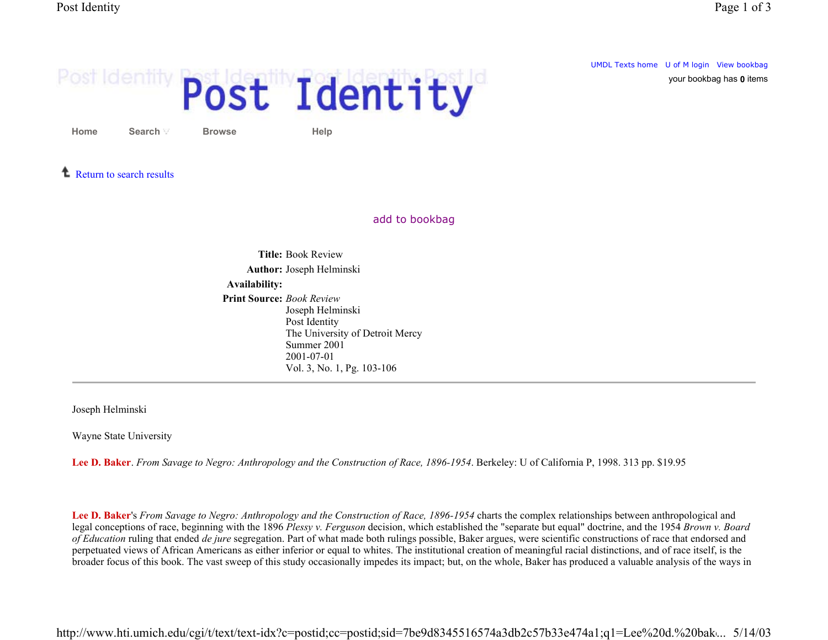your bookbag has **0** items

UMDL Texts home U of M login View bookbag

## Post Identity Post Identity

**Home**

**Browse Help**

**1** Return to search results

**Search**

add to bookbag

**Title:** Book Review**Author:** Joseph Helminski **Availability: Print Source:** *Book Review* Joseph Helminski Post Identity The University of Detroit Mercy Summer 2001 2001-07-01 Vol. 3, No. 1, Pg. 103-106

Joseph Helminski

Wayne State University

**Lee D. Baker**. *From Savage to Negro: Anthropology and the Construction of Race, 1896-1954*. Berkeley: U of California P, 1998. 313 pp. \$19.95

**Lee D. Baker**'s *From Savage to Negro: Anthropology and the Construction of Race, 1896-1954* charts the complex relationships between anthropological and legal conceptions of race, beginning with the 1896 *Plessy v. Ferguson* decision, which established the "separate but equal" doctrine, and the 1954 *Brown v. Board of Education* ruling that ended *de jure* segregation. Part of what made both rulings possible, Baker argues, were scientific constructions of race that endorsed and perpetuated views of African Americans as either inferior or equal to whites. The institutional creation of meaningful racial distinctions, and of race itself, is the broader focus of this book. The vast sweep of this study occasionally impedes its impact; but, on the whole, Baker has produced a valuable analysis of the ways in

http://www.hti.umich.edu/cgi/t/text/text-idx?c=postid;cc=postid;sid=7be9d8345516574a3db2c57b33e474a1;q1=Lee%20d.%20bak... 5/14/03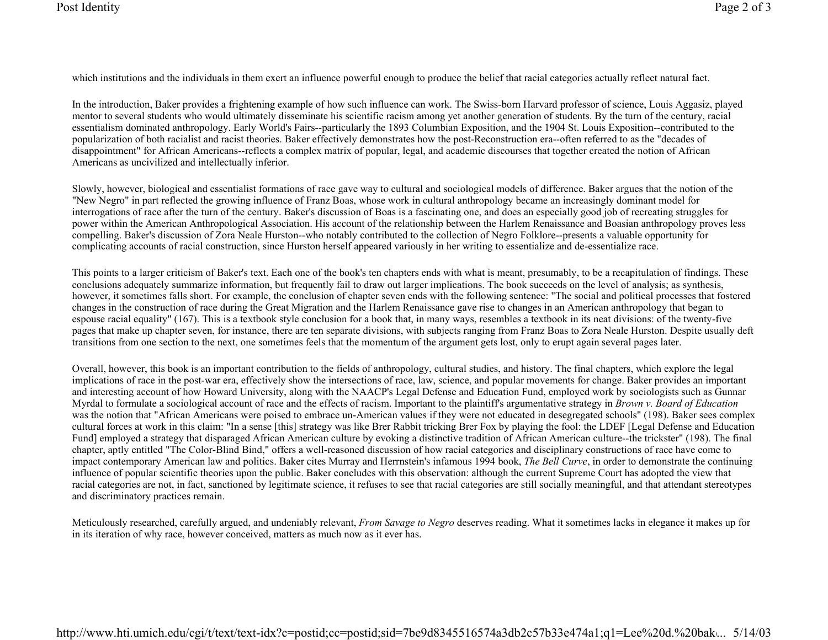which institutions and the individuals in them exert an influence powerful enough to produce the belief that racial categories actually reflect natural fact.

In the introduction, Baker provides a frightening example of how such influence can work. The Swiss-born Harvard professor of science, Louis Aggasiz, played mentor to several students who would ultimately disseminate his scientific racism among yet another generation of students. By the turn of the century, racial essentialism dominated anthropology. Early World's Fairs--particularly the 1893 Columbian Exposition, and the 1904 St. Louis Exposition--contributed to the popularization of both racialist and racist theories. Baker effectively demonstrates how the post-Reconstruction era--often referred to as the "decades of disappointment" for African Americans--reflects a complex matrix of popular, legal, and academic discourses that together created the notion of African Americans as uncivilized and intellectually inferior.

Slowly, however, biological and essentialist formations of race gave way to cultural and sociological models of difference. Baker argues that the notion of the "New Negro" in part reflected the growing influence of Franz Boas, whose work in cultural anthropology became an increasingly dominant model for interrogations of race after the turn of the century. Baker's discussion of Boas is a fascinating one, and does an especially good job of recreating struggles for power within the American Anthropological Association. His account of the relationship between the Harlem Renaissance and Boasian anthropology proves less compelling. Baker's discussion of Zora Neale Hurston--who notably contributed to the collection of Negro Folklore--presents a valuable opportunity for complicating accounts of racial construction, since Hurston herself appeared variously in her writing to essentialize and de-essentialize race.

This points to a larger criticism of Baker's text. Each one of the book's ten chapters ends with what is meant, presumably, to be a recapitulation of findings. These conclusions adequately summarize information, but frequently fail to draw out larger implications. The book succeeds on the level of analysis; as synthesis, however, it sometimes falls short. For example, the conclusion of chapter seven ends with the following sentence: "The social and political processes that fostered changes in the construction of race during the Great Migration and the Harlem Renaissance gave rise to changes in an American anthropology that began to espouse racial equality" (167). This is a textbook style conclusion for a book that, in many ways, resembles a textbook in its neat divisions: of the twenty-five pages that make up chapter seven, for instance, there are ten separate divisions, with subjects ranging from Franz Boas to Zora Neale Hurston. Despite usually deft transitions from one section to the next, one sometimes feels that the momentum of the argument gets lost, only to erupt again several pages later.

Overall, however, this book is an important contribution to the fields of anthropology, cultural studies, and history. The final chapters, which explore the legal implications of race in the post-war era, effectively show the intersections of race, law, science, and popular movements for change. Baker provides an important and interesting account of how Howard University, along with the NAACP's Legal Defense and Education Fund, employed work by sociologists such as Gunnar Myrdal to formulate a sociological account of race and the effects of racism. Important to the plaintiff's argumentative strategy in *Brown v. Board of Education* was the notion that "African Americans were poised to embrace un-American values if they were not educated in desegregated schools" (198). Baker sees complex cultural forces at work in this claim: "In a sense [this] strategy was like Brer Rabbit tricking Brer Fox by playing the fool: the LDEF [Legal Defense and Education Fund] employed a strategy that disparaged African American culture by evoking a distinctive tradition of African American culture--the trickster" (198). The final chapter, aptly entitled "The Color-Blind Bind," offers a well-reasoned discussion of how racial categories and disciplinary constructions of race have come to impact contemporary American law and politics. Baker cites Murray and Herrnstein's infamous 1994 book, *The Bell Curve*, in order to demonstrate the continuing influence of popular scientific theories upon the public. Baker concludes with this observation: although the current Supreme Court has adopted the view that racial categories are not, in fact, sanctioned by legitimate science, it refuses to see that racial categories are still socially meaningful, and that attendant stereotypes and discriminatory practices remain.

Meticulously researched, carefully argued, and undeniably relevant, *From Savage to Negro* deserves reading. What it sometimes lacks in elegance it makes up for in its iteration of why race, however conceived, matters as much now as it ever has.

http://www.hti.umich.edu/cgi/t/text/text-idx?c=postid;cc=postid;sid=7be9d8345516574a3db2c57b33e474a1;q1=Lee%20d.%20bak... 5/14/03